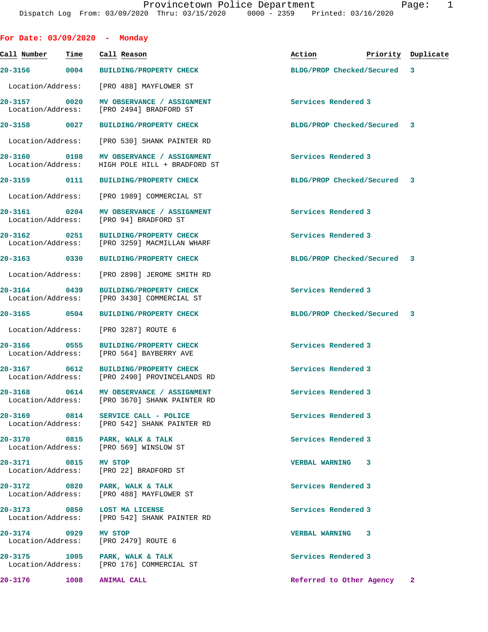| Call Number          | Time | Call Reason                                                                               | Action                      | Priority Duplicate |
|----------------------|------|-------------------------------------------------------------------------------------------|-----------------------------|--------------------|
|                      |      | 20-3156 0004 BUILDING/PROPERTY CHECK                                                      | BLDG/PROP Checked/Secured   | 3                  |
|                      |      | Location/Address: [PRO 488] MAYFLOWER ST                                                  |                             |                    |
| 20-3157 0020         |      | MV OBSERVANCE / ASSIGNMENT<br>Location/Address: [PRO 2494] BRADFORD ST                    | Services Rendered 3         |                    |
| 20-3158 0027         |      | <b>BUILDING/PROPERTY CHECK</b>                                                            | BLDG/PROP Checked/Secured 3 |                    |
|                      |      | Location/Address: [PRO 530] SHANK PAINTER RD                                              |                             |                    |
|                      |      | 20-3160 0108 MV OBSERVANCE / ASSIGNMENT<br>Location/Address: HIGH POLE HILL + BRADFORD ST | Services Rendered 3         |                    |
|                      |      | 20-3159 0111 BUILDING/PROPERTY CHECK                                                      | BLDG/PROP Checked/Secured 3 |                    |
|                      |      | Location/Address: [PRO 1989] COMMERCIAL ST                                                |                             |                    |
|                      |      | 20-3161 0204 MV OBSERVANCE / ASSIGNMENT<br>Location/Address: [PRO 94] BRADFORD ST         | Services Rendered 3         |                    |
| 20-3162 0251         |      | BUILDING/PROPERTY CHECK<br>Location/Address: [PRO 3259] MACMILLAN WHARF                   | Services Rendered 3         |                    |
| 20-3163 0330         |      | <b>BUILDING/PROPERTY CHECK</b>                                                            | BLDG/PROP Checked/Secured 3 |                    |
|                      |      | Location/Address: [PRO 2898] JEROME SMITH RD                                              |                             |                    |
| 20-3164 0439         |      | <b>BUILDING/PROPERTY CHECK</b><br>Location/Address: [PRO 3430] COMMERCIAL ST              | Services Rendered 3         |                    |
| 20-3165 0504         |      | <b>BUILDING/PROPERTY CHECK</b>                                                            | BLDG/PROP Checked/Secured 3 |                    |
|                      |      | Location/Address: [PRO 3287] ROUTE 6                                                      |                             |                    |
| 20-3166 0555         |      | <b>BUILDING/PROPERTY CHECK</b><br>Location/Address: [PRO 564] BAYBERRY AVE                | Services Rendered 3         |                    |
| 20-3167 0612         |      | <b>BUILDING/PROPERTY CHECK</b><br>Location/Address: [PRO 2490] PROVINCELANDS RD           | Services Rendered 3         |                    |
|                      |      | 20-3168 0614 MV OBSERVANCE / ASSIGNMENT<br>Location/Address: [PRO 3670] SHANK PAINTER RD  | Services Rendered 3         |                    |
| 20-3169 0814         |      | SERVICE CALL - POLICE<br>Location/Address: [PRO 542] SHANK PAINTER RD                     | Services Rendered 3         |                    |
| 20-3170 0815         |      | PARK, WALK & TALK<br>Location/Address: [PRO 569] WINSLOW ST                               | Services Rendered 3         |                    |
| 20-3171 0815 MV STOP |      | Location/Address: [PRO 22] BRADFORD ST                                                    | VERBAL WARNING 3            |                    |
|                      |      | 20-3172 0820 PARK, WALK & TALK<br>Location/Address: [PRO 488] MAYFLOWER ST                | Services Rendered 3         |                    |
|                      |      | 20-3173 0850 LOST MA LICENSE<br>Location/Address: [PRO 542] SHANK PAINTER RD              | Services Rendered 3         |                    |
| 20-3174              |      | <b>MV STOP</b>                                                                            | VERBAL WARNING 3            |                    |

Location/Address: [PRO 2479] ROUTE 6

20-3175 1005 PARK, WALK & TALK **Services Rendered 3** Location/Address: [PRO 176] COMMERCIAL ST

**20-3176 1008 ANIMAL CALL Referred to Other Agency 2**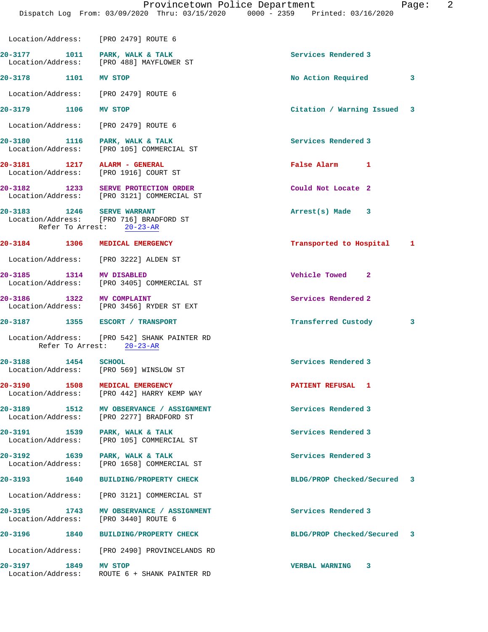|                                           | Location/Address: [PRO 2479] ROUTE 6                                                |                                 |  |
|-------------------------------------------|-------------------------------------------------------------------------------------|---------------------------------|--|
|                                           | 20-3177 1011 PARK, WALK & TALK<br>Location/Address: [PRO 488] MAYFLOWER ST          | Services Rendered 3             |  |
| 20-3178 1101 MV STOP                      |                                                                                     | No Action Required 3            |  |
|                                           | Location/Address: [PRO 2479] ROUTE 6                                                |                                 |  |
| 20-3179 1106 MV STOP                      |                                                                                     | Citation / Warning Issued 3     |  |
|                                           | Location/Address: [PRO 2479] ROUTE 6                                                |                                 |  |
|                                           | 20-3180 1116 PARK, WALK & TALK<br>Location/Address: [PRO 105] COMMERCIAL ST         | Services Rendered 3             |  |
|                                           | 20-3181 1217 ALARM - GENERAL<br>Location/Address: [PRO 1916] COURT ST               | False Alarm 1                   |  |
|                                           | 20-3182 1233 SERVE PROTECTION ORDER<br>Location/Address: [PRO 3121] COMMERCIAL ST   | Could Not Locate 2              |  |
| 20-3183 1246 SERVE WARRANT                | Location/Address: [PRO 716] BRADFORD ST<br>Refer To Arrest: 20-23-AR                | Arrest(s) Made 3                |  |
|                                           | 20-3184 1306 MEDICAL EMERGENCY                                                      | Transported to Hospital 1       |  |
|                                           | Location/Address: [PRO 3222] ALDEN ST                                               |                                 |  |
| 20-3185 1314 MV DISABLED                  | Location/Address: [PRO 3405] COMMERCIAL ST                                          | Vehicle Towed 2                 |  |
|                                           | 20-3186 1322 MV COMPLAINT<br>Location/Address: [PRO 3456] RYDER ST EXT              | Services Rendered 2             |  |
|                                           | 20-3187 1355 ESCORT / TRANSPORT                                                     | Transferred Custody<br>$\sim$ 3 |  |
|                                           | Location/Address: [PRO 542] SHANK PAINTER RD<br>Refer To Arrest: 20-23-AR           |                                 |  |
|                                           | 20-3188 1454 SCHOOL<br>Location/Address: [PRO 569] WINSLOW ST                       | Services Rendered 3             |  |
|                                           | 20-3190 1508 MEDICAL EMERGENCY<br>Location/Address: [PRO 442] HARRY KEMP WAY        | PATIENT REFUSAL 1               |  |
|                                           | 20-3189 1512 MV OBSERVANCE / ASSIGNMENT<br>Location/Address: [PRO 2277] BRADFORD ST | Services Rendered 3             |  |
| 20-3191 1539                              | PARK, WALK & TALK<br>Location/Address: [PRO 105] COMMERCIAL ST                      | Services Rendered 3             |  |
| 20-3192 1639                              | PARK, WALK & TALK<br>Location/Address: [PRO 1658] COMMERCIAL ST                     | Services Rendered 3             |  |
|                                           | 20-3193 1640 BUILDING/PROPERTY CHECK                                                | BLDG/PROP Checked/Secured 3     |  |
|                                           | Location/Address: [PRO 3121] COMMERCIAL ST                                          |                                 |  |
| 20-3195 1743                              | MV OBSERVANCE / ASSIGNMENT<br>Location/Address: [PRO 3440] ROUTE 6                  | Services Rendered 3             |  |
| 20-3196                                   | 1840 BUILDING/PROPERTY CHECK                                                        | BLDG/PROP Checked/Secured 3     |  |
|                                           | Location/Address: [PRO 2490] PROVINCELANDS RD                                       |                                 |  |
| 20-3197 1849 MV STOP<br>Location/Address: | ROUTE 6 + SHANK PAINTER RD                                                          | VERBAL WARNING 3                |  |
|                                           |                                                                                     |                                 |  |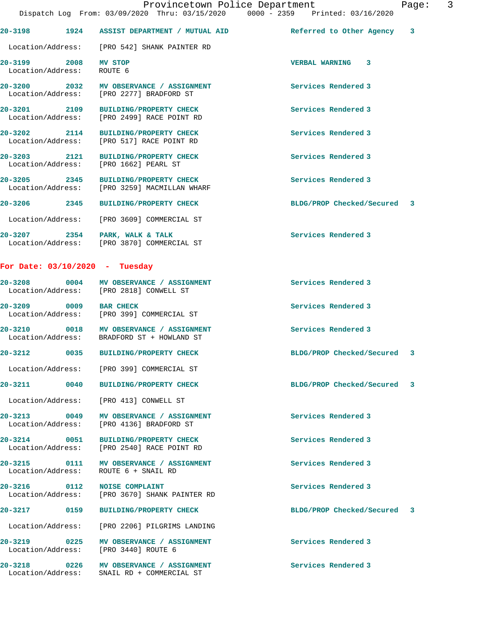|                                           |      | Dispatch Log From: 03/09/2020 Thru: 03/15/2020 0000 - 2359 Printed: 03/16/2020        |                             |  |
|-------------------------------------------|------|---------------------------------------------------------------------------------------|-----------------------------|--|
|                                           |      | 20-3198 1924 ASSIST DEPARTMENT / MUTUAL AID                                           | Referred to Other Agency 3  |  |
|                                           |      | Location/Address: [PRO 542] SHANK PAINTER RD                                          |                             |  |
| 20-3199 2008 MV STOP<br>Location/Address: |      | ROUTE 6                                                                               | VERBAL WARNING 3            |  |
|                                           |      | 20-3200 2032 MV OBSERVANCE / ASSIGNMENT<br>Location/Address: [PRO 2277] BRADFORD ST   | Services Rendered 3         |  |
|                                           |      | 20-3201 2109 BUILDING/PROPERTY CHECK<br>Location/Address: [PRO 2499] RACE POINT RD    | Services Rendered 3         |  |
|                                           |      | 20-3202 2114 BUILDING/PROPERTY CHECK<br>Location/Address: [PRO 517] RACE POINT RD     | Services Rendered 3         |  |
|                                           |      | 20-3203 2121 BUILDING/PROPERTY CHECK<br>Location/Address: [PRO 1662] PEARL ST         | Services Rendered 3         |  |
|                                           |      | 20-3205 2345 BUILDING/PROPERTY CHECK<br>Location/Address: [PRO 3259] MACMILLAN WHARF  | Services Rendered 3         |  |
|                                           |      | 20-3206 2345 BUILDING/PROPERTY CHECK                                                  | BLDG/PROP Checked/Secured 3 |  |
|                                           |      | Location/Address: [PRO 3609] COMMERCIAL ST                                            |                             |  |
|                                           |      | 20-3207 2354 PARK, WALK & TALK<br>Location/Address: [PRO 3870] COMMERCIAL ST          | Services Rendered 3         |  |
| For Date: $03/10/2020$ - Tuesday          |      |                                                                                       |                             |  |
|                                           |      | 20-3208 0004 MV OBSERVANCE / ASSIGNMENT<br>Location/Address: [PRO 2818] CONWELL ST    | Services Rendered 3         |  |
| 20-3209 0009 BAR CHECK                    |      | Location/Address: [PRO 399] COMMERCIAL ST                                             | Services Rendered 3         |  |
|                                           |      | 20-3210 0018 MV OBSERVANCE / ASSIGNMENT<br>Location/Address: BRADFORD ST + HOWLAND ST | Services Rendered 3         |  |
| $20 - 3212$                               |      | 0035 BUILDING/PROPERTY CHECK                                                          | BLDG/PROP Checked/Secured 3 |  |
| Location/Address:                         |      | [PRO 399] COMMERCIAL ST                                                               |                             |  |
| $20 - 3211$                               | 0040 | <b>BUILDING/PROPERTY CHECK</b>                                                        | BLDG/PROP Checked/Secured 3 |  |
| Location/Address:                         |      | [PRO 413] CONWELL ST                                                                  |                             |  |
| 20-3213 0049<br>Location/Address:         |      | MV OBSERVANCE / ASSIGNMENT<br>[PRO 4136] BRADFORD ST                                  | Services Rendered 3         |  |
| 20-3214 0051<br>Location/Address:         |      | <b>BUILDING/PROPERTY CHECK</b><br>[PRO 2540] RACE POINT RD                            | Services Rendered 3         |  |
|                                           |      |                                                                                       |                             |  |

20-3215 0111 MV OBSERVANCE / ASSIGNMENT **Services Rendered 3** Location/Address: ROUTE 6 + SNAIL RD

**20-3216 0112 NOISE COMPLAINT Services Rendered 3**  Location/Address: [PRO 3670] SHANK PAINTER RD

**20-3217 0159 BUILDING/PROPERTY CHECK BLDG/PROP Checked/Secured 3**

Location/Address: [PRO 2206] PILGRIMS LANDING

20-3219 **0225** MV OBSERVANCE / ASSIGNMENT **Services Rendered 3** Location/Address: [PRO 3440] ROUTE 6

20-3218 0226 MV OBSERVANCE / ASSIGNMENT **Services Rendered 3** Location/Address: SNAIL RD + COMMERCIAL ST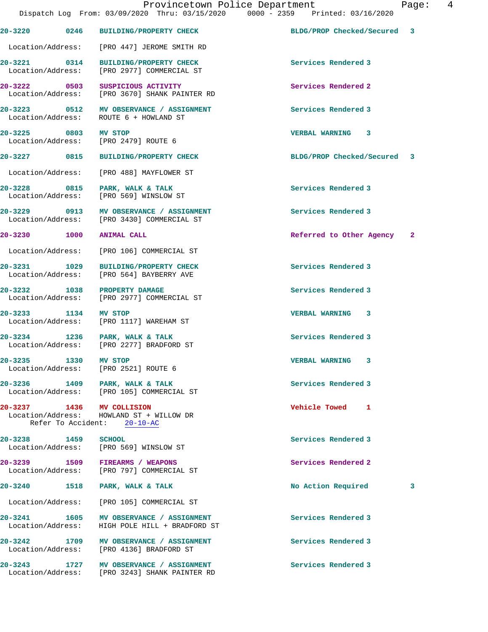**20-3220 0246 BUILDING/PROPERTY CHECK BLDG/PROP Checked/Secured 3**

|                      | Location/Address: [PRO 447] JEROME SMITH RD                                                  |                             |   |
|----------------------|----------------------------------------------------------------------------------------------|-----------------------------|---|
| $20 - 3221$ 0314     | BUILDING/PROPERTY CHECK<br>Location/Address: [PRO 2977] COMMERCIAL ST                        | Services Rendered 3         |   |
|                      | 20-3222 0503 SUSPICIOUS ACTIVITY<br>Location/Address: [PRO 3670] SHANK PAINTER RD            | Services Rendered 2         |   |
|                      | 20-3223 0512 MV OBSERVANCE / ASSIGNMENT<br>Location/Address: ROUTE 6 + HOWLAND ST            | Services Rendered 3         |   |
| 20-3225 0803 MV STOP | Location/Address: [PRO 2479] ROUTE 6                                                         | <b>VERBAL WARNING 3</b>     |   |
|                      | 20-3227 0815 BUILDING/PROPERTY CHECK                                                         | BLDG/PROP Checked/Secured 3 |   |
|                      | Location/Address: [PRO 488] MAYFLOWER ST                                                     |                             |   |
|                      | 20-3228 0815 PARK, WALK & TALK<br>Location/Address: [PRO 569] WINSLOW ST                     | Services Rendered 3         |   |
|                      | 20-3229 0913 MV OBSERVANCE / ASSIGNMENT<br>Location/Address: [PRO 3430] COMMERCIAL ST        | Services Rendered 3         |   |
| 20-3230 1000         | <b>ANIMAL CALL</b>                                                                           | Referred to Other Agency 2  |   |
|                      | Location/Address: [PRO 106] COMMERCIAL ST                                                    |                             |   |
| 20-3231 1029         | <b>BUILDING/PROPERTY CHECK</b><br>Location/Address: [PRO 564] BAYBERRY AVE                   | Services Rendered 3         |   |
|                      | 20-3232 1038 PROPERTY DAMAGE<br>Location/Address: [PRO 2977] COMMERCIAL ST                   | Services Rendered 3         |   |
| 20-3233 1134 MV STOP | Location/Address: [PRO 1117] WAREHAM ST                                                      | VERBAL WARNING 3            |   |
|                      | 20-3234 1236 PARK, WALK & TALK<br>Location/Address: [PRO 2277] BRADFORD ST                   | Services Rendered 3         |   |
| 20-3235 1330 MV STOP | Location/Address: [PRO 2521] ROUTE 6                                                         | VERBAL WARNING 3            |   |
|                      | 20-3236 1409 PARK, WALK & TALK<br>Location/Address: [PRO 105] COMMERCIAL ST                  | Services Rendered 3         |   |
| 20-3237              | 1436 MV COLLISION<br>Location/Address: HOWLAND ST + WILLOW DR<br>Refer To Accident: 20-10-AC | Vehicle Towed<br>1          |   |
| 20-3238 1459         | <b>SCHOOL</b><br>Location/Address: [PRO 569] WINSLOW ST                                      | Services Rendered 3         |   |
|                      | 20-3239 1509 FIREARMS / WEAPONS<br>Location/Address: [PRO 797] COMMERCIAL ST                 | Services Rendered 2         |   |
| 20-3240<br>1518      | PARK, WALK & TALK                                                                            | No Action Required          | 3 |
| Location/Address:    | [PRO 105] COMMERCIAL ST                                                                      |                             |   |
| 20-3241 1605         | MV OBSERVANCE / ASSIGNMENT<br>Location/Address: HIGH POLE HILL + BRADFORD ST                 | Services Rendered 3         |   |
| 20-3242              | 1709 MV OBSERVANCE / ASSIGNMENT<br>Location/Address: [PRO 4136] BRADFORD ST                  | Services Rendered 3         |   |
| 20-3243              | 20-3243 1727 MV OBSERVANCE / ASSIGNMENT<br>Location/Address: [PRO 3243] SHANK PAINTER RD     | Services Rendered 3         |   |
|                      |                                                                                              |                             |   |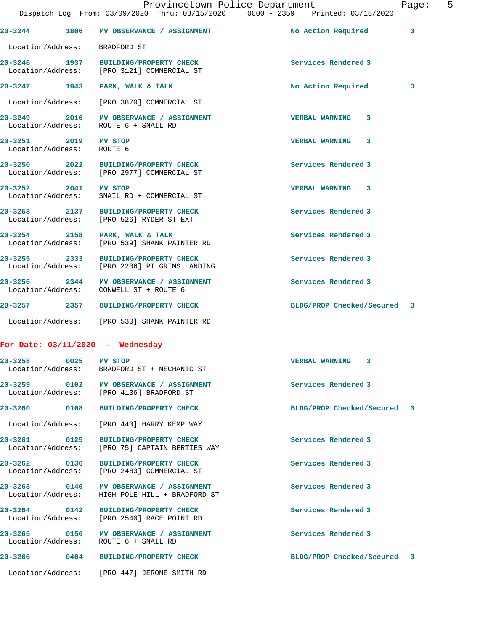**20-3244 1806 MV OBSERVANCE / ASSIGNMENT No Action Required 3** Location/Address: BRADFORD ST **20-3246 1937 BUILDING/PROPERTY CHECK Services Rendered 3**  Location/Address: [PRO 3121] COMMERCIAL ST **20-3247 1943 PARK, WALK & TALK No Action Required 3** Location/Address: [PRO 3870] COMMERCIAL ST **20-3249 2016 MV OBSERVANCE / ASSIGNMENT VERBAL WARNING 3**  Location/Address: ROUTE 6 + SNAIL RD **20-3251 2019 MV STOP VERBAL WARNING 3**  Location/Address: ROUTE 6 **20-3250 2022 BUILDING/PROPERTY CHECK Services Rendered 3**  Location/Address: [PRO 2977] COMMERCIAL ST **20-3252 2041 MV STOP VERBAL WARNING 3**  Location/Address: SNAIL RD + COMMERCIAL ST **20-3253 2137 BUILDING/PROPERTY CHECK Services Rendered 3**  Location/Address: [PRO 526] RYDER ST EXT **20-3254 2158 PARK, WALK & TALK Services Rendered 3**  Location/Address: [PRO 539] SHANK PAINTER RD **20-3255 2333 BUILDING/PROPERTY CHECK Services Rendered 3**  Location/Address: [PRO 2206] PILGRIMS LANDING 20-3256 2344 MV OBSERVANCE / ASSIGNMENT **Services Rendered 3 Indianal Services** Rendered 3 **Indianal Services** Rendered 3 Location/Address: CONWELL ST + ROUTE 6 **20-3257 2357 BUILDING/PROPERTY CHECK BLDG/PROP Checked/Secured 3** Location/Address: [PRO 530] SHANK PAINTER RD **For Date: 03/11/2020 - Wednesday 20-3258 0025 MV STOP VERBAL WARNING 3**  Location/Address: BRADFORD ST + MECHANIC ST

20-3259 0102 MV OBSERVANCE / ASSIGNMENT **Services Rendered 3** Location/Address: [PRO 4136] BRADFORD ST

**20-3260 0108 BUILDING/PROPERTY CHECK BLDG/PROP Checked/Secured 3**

Location/Address: [PRO 440] HARRY KEMP WAY

**20-3261 0125 BUILDING/PROPERTY CHECK Services Rendered 3**  Location/Address: [PRO 75] CAPTAIN BERTIES WAY

20-3262 **0136** BUILDING/PROPERTY CHECK **Services Rendered 3** 

**20-3263 0140 MV OBSERVANCE / ASSIGNMENT Services Rendered 3** 

Location/Address: [PRO 2483] COMMERCIAL ST

Location/Address: HIGH POLE HILL + BRADFORD ST

**20-3264 0142 BUILDING/PROPERTY CHECK Services Rendered 3**  Location/Address: [PRO 2540] RACE POINT RD

20-3265 0156 MV OBSERVANCE / ASSIGNMENT **Services Rendered 3** Location/Address: ROUTE 6 + SNAIL RD

**20-3266 0404 BUILDING/PROPERTY CHECK BLDG/PROP Checked/Secured 3**

Location/Address: [PRO 447] JEROME SMITH RD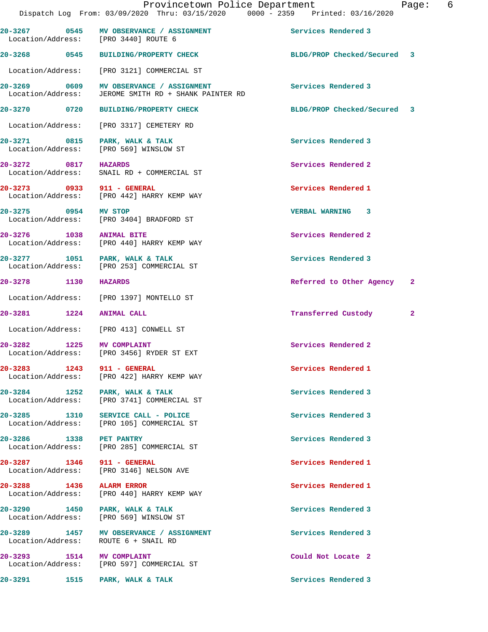Dispatch Log From: 03/09/2020 Thru: 03/15/2020 0000 - 2359 Printed: 03/16/2020 **20-3267 0545 MV OBSERVANCE / ASSIGNMENT Services Rendered 3**  Location/Address: [PRO 3440] ROUTE 6 **20-3268 0545 BUILDING/PROPERTY CHECK BLDG/PROP Checked/Secured 3** Location/Address: [PRO 3121] COMMERCIAL ST **20-3269 0609 MV OBSERVANCE / ASSIGNMENT Services Rendered 3**  Location/Address: JEROME SMITH RD + SHANK PAINTER RD **20-3270 0720 BUILDING/PROPERTY CHECK BLDG/PROP Checked/Secured 3** Location/Address: [PRO 3317] CEMETERY RD **20-3271 0815 PARK, WALK & TALK Services Rendered 3**  Location/Address: [PRO 569] WINSLOW ST **20-3272** 0817 HAZARDS **Services Rendered 2**<br>
Location/Address: SNAIL RD + COMMERCIAL ST SNAIL RD + COMMERCIAL ST **20-3273 0933 911 - GENERAL Services Rendered 1**  Location/Address: [PRO 442] HARRY KEMP WAY **20-3275 0954 MV STOP VERBAL WARNING 3**  Location/Address: [PRO 3404] BRADFORD ST **20-3276** 1038 ANIMAL BITE 1008 Services Rendered 2<br>
Location/Address: [PRO 440] HARRY KEMP WAY [PRO 440] HARRY KEMP WAY 20-3277 1051 PARK, WALK & TALK Services Rendered 3<br>
Location/Address: [PRO 253] COMMERCIAL ST [PRO 253] COMMERCIAL ST **20-3278 1130 HAZARDS Referred to Other Agency 2** Location/Address: [PRO 1397] MONTELLO ST **20-3281 1224 ANIMAL CALL Transferred Custody 2** Location/Address: [PRO 413] CONWELL ST **20-3282** 1225 MV COMPLAINT 1225 Services Rendered 2<br>
Location/Address: [PRO 3456] RYDER ST EXT Location/Address: [PRO 3456] RYDER ST EXT **20-3283 1243 911 - GENERAL Services Rendered 1**  Location/Address: [PRO 422] HARRY KEMP WAY 20-3284 1252 PARK, WALK & TALK<br>
Location/Address: [PRO 3741] COMMERCIAL ST [PRO 3741] COMMERCIAL ST **20-3285 1310 SERVICE CALL - POLICE Services Rendered 3**  Location/Address: [PRO 105] COMMERCIAL ST **20-3286 1338 PET PANTRY Services Rendered 3**  Location/Address: [PRO 285] COMMERCIAL ST **20-3287 1346 911 - GENERAL Services Rendered 1**  Location/Address: [PRO 3146] NELSON AVE **20-3288 1436 ALARM ERROR Services Rendered 1**  Location/Address: [PRO 440] HARRY KEMP WAY **20-3290 1450 PARK, WALK & TALK Services Rendered 3**<br>
Location/Address: [PRO 569] WINSLOW ST Location/Address: **20-3289 1457 MV OBSERVANCE / ASSIGNMENT Services Rendered 3**  Location/Address: ROUTE 6 + SNAIL RD **20-3293 1514 MV COMPLAINT Could Not Locate 2**  Location/Address: [PRO 597] COMMERCIAL ST 20-3291 1515 PARK, WALK & TALK **Services Rendered 3**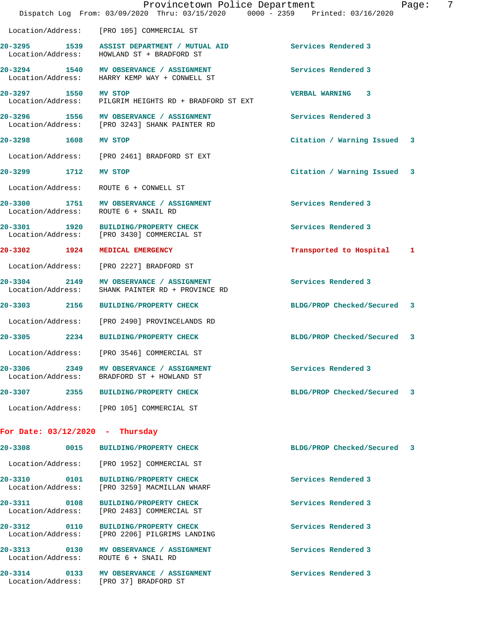|                                      | Provincetown Police Department<br>Dispatch Log From: 03/09/2020 Thru: 03/15/2020 0000 - 2359 Printed: 03/16/2020 |                             | 7<br>Page: |
|--------------------------------------|------------------------------------------------------------------------------------------------------------------|-----------------------------|------------|
|                                      | Location/Address: [PRO 105] COMMERCIAL ST                                                                        |                             |            |
|                                      | 20-3295 1539 ASSIST DEPARTMENT / MUTUAL AID<br>Location/Address: HOWLAND ST + BRADFORD ST                        | Services Rendered 3         |            |
|                                      | 20-3294 1540 MV OBSERVANCE / ASSIGNMENT<br>Location/Address: HARRY KEMP WAY + CONWELL ST                         | Services Rendered 3         |            |
| 20-3297 1550<br>Location/Address:    | MV STOP<br>PILGRIM HEIGHTS RD + BRADFORD ST EXT                                                                  | VERBAL WARNING 3            |            |
|                                      | 20-3296 1556 MV OBSERVANCE / ASSIGNMENT<br>Location/Address: [PRO 3243] SHANK PAINTER RD                         | Services Rendered 3         |            |
| 20-3298 1608                         | MV STOP                                                                                                          | Citation / Warning Issued 3 |            |
| Location/Address:                    | [PRO 2461] BRADFORD ST EXT                                                                                       |                             |            |
| 20-3299 1712                         | <b>MV STOP</b>                                                                                                   | Citation / Warning Issued 3 |            |
| Location/Address:                    | ROUTE 6 + CONWELL ST                                                                                             |                             |            |
|                                      | 20-3300 1751 MV OBSERVANCE / ASSIGNMENT<br>Location/Address: ROUTE 6 + SNAIL RD                                  | Services Rendered 3         |            |
| 1920<br>20-3301<br>Location/Address: | BUILDING/PROPERTY CHECK<br>[PRO 3430] COMMERCIAL ST                                                              | Services Rendered 3         |            |
| 20-3302 1924                         | MEDICAL EMERGENCY                                                                                                | Transported to Hospital     | 1          |
| Location/Address:                    | [PRO 2227] BRADFORD ST                                                                                           |                             |            |
| 20-3304 2149<br>Location/Address:    | MV OBSERVANCE / ASSIGNMENT<br>SHANK PAINTER RD + PROVINCE RD                                                     | Services Rendered 3         |            |
| 20-3303 2156                         | <b>BUILDING/PROPERTY CHECK</b>                                                                                   | BLDG/PROP Checked/Secured 3 |            |
| Location/Address:                    | [PRO 2490] PROVINCELANDS RD                                                                                      |                             |            |
| 20-3305 2234                         | <b>BUILDING/PROPERTY CHECK</b>                                                                                   | BLDG/PROP Checked/Secured 3 |            |
|                                      | Location/Address: [PRO 3546] COMMERCIAL ST                                                                       |                             |            |
|                                      | 20-3306 2349 MV OBSERVANCE / ASSIGNMENT<br>Location/Address: BRADFORD ST + HOWLAND ST                            | Services Rendered 3         |            |
|                                      | 20-3307 2355 BUILDING/PROPERTY CHECK                                                                             | BLDG/PROP Checked/Secured 3 |            |
|                                      | Location/Address: [PRO 105] COMMERCIAL ST                                                                        |                             |            |
| For Date: $03/12/2020$ - Thursday    |                                                                                                                  |                             |            |
| 20-3308 0015                         | <b>BUILDING/PROPERTY CHECK</b>                                                                                   | BLDG/PROP Checked/Secured 3 |            |
|                                      | Location/Address: [PRO 1952] COMMERCIAL ST                                                                       |                             |            |
| 20-3310 0101<br>Location/Address:    | <b>BUILDING/PROPERTY CHECK</b><br>[PRO 3259] MACMILLAN WHARF                                                     | Services Rendered 3         |            |
| 20-3311 0108<br>Location/Address:    | <b>BUILDING/PROPERTY CHECK</b><br>[PRO 2483] COMMERCIAL ST                                                       | Services Rendered 3         |            |
| 20-3312 0110<br>Location/Address:    | <b>BUILDING/PROPERTY CHECK</b><br>[PRO 2206] PILGRIMS LANDING                                                    | Services Rendered 3         |            |
|                                      | 20-3313 0130 MV OBSERVANCE / ASSIGNMENT<br>Location/Address: ROUTE 6 + SNAIL RD                                  | Services Rendered 3         |            |
|                                      | 20-3314 0133 MV OBSERVANCE / ASSIGNMENT<br>Location/Address: [PRO 37] BRADFORD ST                                | Services Rendered 3         |            |
|                                      |                                                                                                                  |                             |            |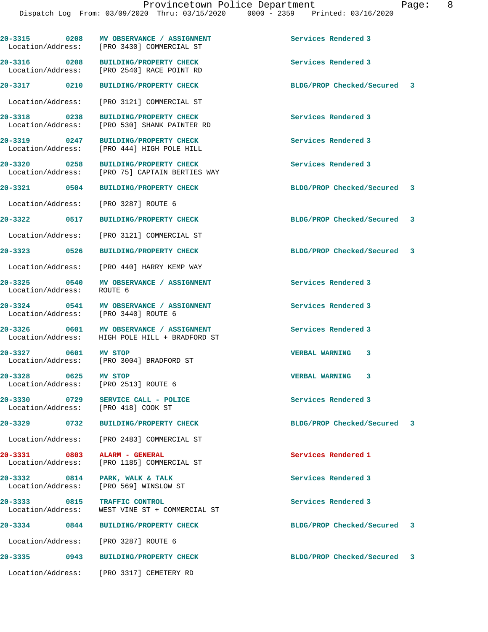20-3315 0208 MV OBSERVANCE / ASSIGNMENT **Services Rendered 3**  Location/Address: [PRO 3430] COMMERCIAL ST **20-3316 0208 BUILDING/PROPERTY CHECK Services Rendered 3**  [PRO 2540] RACE POINT RD **20-3317 0210 BUILDING/PROPERTY CHECK BLDG/PROP Checked/Secured 3** Location/Address: [PRO 3121] COMMERCIAL ST **20-3318 0238 BUILDING/PROPERTY CHECK Services Rendered 3**  [PRO 530] SHANK PAINTER RD **20-3319 0247 BUILDING/PROPERTY CHECK Services Rendered 3**  Location/Address: [PRO 444] HIGH POLE HILL **20-3320 0258 BUILDING/PROPERTY CHECK Services Rendered 3**  Location/Address: [PRO 75] CAPTAIN BERTIES WAY **20-3321 0504 BUILDING/PROPERTY CHECK BLDG/PROP Checked/Secured 3** Location/Address: [PRO 3287] ROUTE 6 **20-3322 0517 BUILDING/PROPERTY CHECK BLDG/PROP Checked/Secured 3** Location/Address: [PRO 3121] COMMERCIAL ST **20-3323 0526 BUILDING/PROPERTY CHECK BLDG/PROP Checked/Secured 3** Location/Address: [PRO 440] HARRY KEMP WAY **20-3325 0540 MV OBSERVANCE / ASSIGNMENT Services Rendered 3**  Location/Address: **20-3324 0541 MV OBSERVANCE / ASSIGNMENT Services Rendered 3**  Location/Address: [PRO 3440] ROUTE 6 **20-3326 0601 MV OBSERVANCE / ASSIGNMENT Services Rendered 3**  Location/Address: HIGH POLE HILL + BRADFORD ST **20-3327 0601 MV STOP VERBAL WARNING 3**  Location/Address: [PRO 3004] BRADFORD ST **20-3328 0625 MV STOP VERBAL WARNING 3**  Location/Address: [PRO 2513] ROUTE 6 **20-3330 0729 SERVICE CALL - POLICE Services Rendered 3**  Location/Address: **20-3329 0732 BUILDING/PROPERTY CHECK BLDG/PROP Checked/Secured 3** Location/Address: [PRO 2483] COMMERCIAL ST **20-3331** 0803 ALARM - GENERAL **Services Rendered 1**  Location/Address: [PRO 1185] COMMERCIAL ST **20-3332 0814 PARK, WALK & TALK Services Rendered 3**  Location/Address: [PRO 569] WINSLOW ST **20-3333 0815 TRAFFIC CONTROL Services Rendered 3**  Location/Address: WEST VINE ST + COMMERCIAL ST **20-3334 0844 BUILDING/PROPERTY CHECK BLDG/PROP Checked/Secured 3** Location/Address: [PRO 3287] ROUTE 6 **20-3335 0943 BUILDING/PROPERTY CHECK BLDG/PROP Checked/Secured 3** Location/Address: [PRO 3317] CEMETERY RD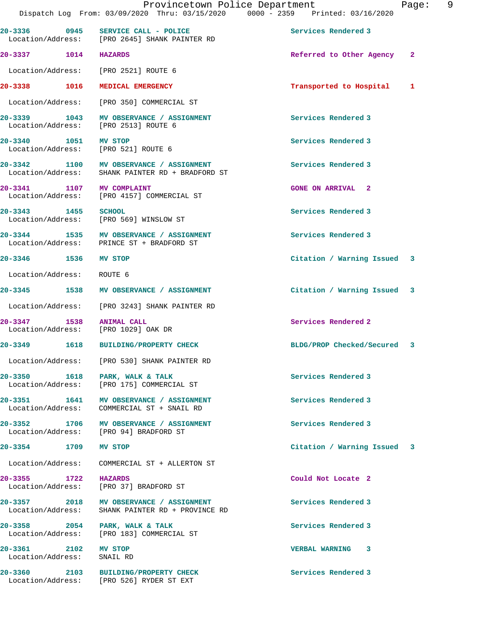|                                   | Provincetown Police Department<br>Dispatch Log From: 03/09/2020 Thru: 03/15/2020 0000 - 2359 Printed: 03/16/2020 |                             | 9<br>Page:   |
|-----------------------------------|------------------------------------------------------------------------------------------------------------------|-----------------------------|--------------|
| 20-3336 0945                      | SERVICE CALL - POLICE<br>Location/Address: [PRO 2645] SHANK PAINTER RD                                           | Services Rendered 3         |              |
| 20-3337 1014 HAZARDS              |                                                                                                                  | Referred to Other Agency    | $\mathbf{2}$ |
|                                   | Location/Address: [PRO 2521] ROUTE 6                                                                             |                             |              |
| 20-3338 1016                      | MEDICAL EMERGENCY                                                                                                | Transported to Hospital     | 1            |
|                                   | Location/Address: [PRO 350] COMMERCIAL ST                                                                        |                             |              |
| 20-3339 1043                      | MV OBSERVANCE / ASSIGNMENT<br>Location/Address: [PRO 2513] ROUTE 6                                               | Services Rendered 3         |              |
| 20-3340 1051 MV STOP              | Location/Address: [PRO 521] ROUTE 6                                                                              | Services Rendered 3         |              |
|                                   | 20-3342 1100 MV OBSERVANCE / ASSIGNMENT<br>Location/Address: SHANK PAINTER RD + BRADFORD ST                      | Services Rendered 3         |              |
| 20-3341 1107 MV COMPLAINT         | Location/Address: [PRO 4157] COMMERCIAL ST                                                                       | <b>GONE ON ARRIVAL 2</b>    |              |
| 20-3343 1455 SCHOOL               | Location/Address: [PRO 569] WINSLOW ST                                                                           | Services Rendered 3         |              |
|                                   | 20-3344 1535 MV OBSERVANCE / ASSIGNMENT<br>Location/Address: PRINCE ST + BRADFORD ST                             | Services Rendered 3         |              |
| 20-3346 1536                      | MV STOP                                                                                                          | Citation / Warning Issued 3 |              |
| Location/Address: ROUTE 6         |                                                                                                                  |                             |              |
|                                   | 20-3345 1538 MV OBSERVANCE / ASSIGNMENT                                                                          | Citation / Warning Issued 3 |              |
|                                   | Location/Address: [PRO 3243] SHANK PAINTER RD                                                                    |                             |              |
| 20-3347 1538 ANIMAL CALL          | Location/Address: [PRO 1029] OAK DR                                                                              | Services Rendered 2         |              |
| 20-3349 1618                      | BUILDING/PROPERTY CHECK                                                                                          | BLDG/PROP Checked/Secured 3 |              |
| Location/Address:                 | [PRO 530] SHANK PAINTER RD                                                                                       |                             |              |
| 20-3350 1618                      | PARK, WALK & TALK<br>Location/Address: [PRO 175] COMMERCIAL ST                                                   | Services Rendered 3         |              |
| 20-3351 1641<br>Location/Address: | MV OBSERVANCE / ASSIGNMENT<br>COMMERCIAL ST + SNAIL RD                                                           | Services Rendered 3         |              |
| 20-3352 1706                      | MV OBSERVANCE / ASSIGNMENT<br>Location/Address: [PRO 94] BRADFORD ST                                             | Services Rendered 3         |              |
| 20-3354 1709                      | MV STOP                                                                                                          | Citation / Warning Issued 3 |              |
| Location/Address:                 | COMMERCIAL ST + ALLERTON ST                                                                                      |                             |              |
| 20-3355 1722<br>Location/Address: | HAZARDS<br>[PRO 37] BRADFORD ST                                                                                  | Could Not Locate 2          |              |
| Location/Address:                 | 20-3357 2018 MV OBSERVANCE / ASSIGNMENT<br>SHANK PAINTER RD + PROVINCE RD                                        | Services Rendered 3         |              |
| 20-3358 2054<br>Location/Address: | PARK, WALK & TALK<br>[PRO 183] COMMERCIAL ST                                                                     | Services Rendered 3         |              |
| 20-3361 2102<br>Location/Address: | MV STOP<br>SNAIL RD                                                                                              | VERBAL WARNING 3            |              |
| 20-3360 2103                      | BUILDING/PROPERTY CHECK<br>Location/Address: [PRO 526] RYDER ST EXT                                              | Services Rendered 3         |              |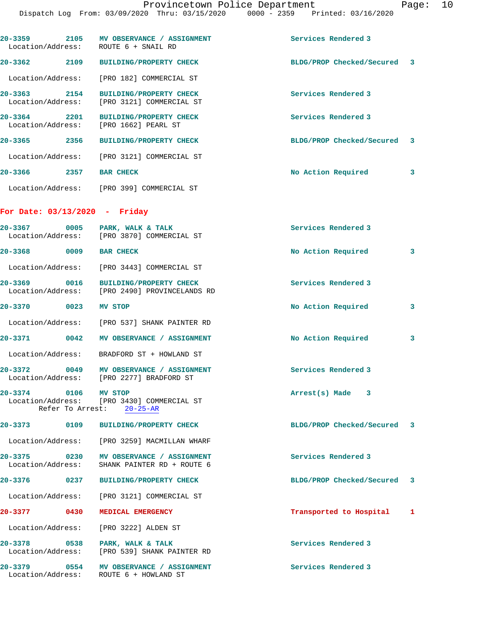|                                 |                                                                                           | Provincetown Police Department<br>Dispatch Log From: 03/09/2020 Thru: 03/15/2020 0000 - 2359 Printed: 03/16/2020 | Pa |
|---------------------------------|-------------------------------------------------------------------------------------------|------------------------------------------------------------------------------------------------------------------|----|
|                                 |                                                                                           |                                                                                                                  |    |
|                                 | 20-3359 2105 MV OBSERVANCE / ASSIGNMENT<br>Location/Address: ROUTE 6 + SNAIL RD           | Services Rendered 3                                                                                              |    |
|                                 | 20-3362 2109 BUILDING/PROPERTY CHECK                                                      | BLDG/PROP Checked/Secured 3                                                                                      |    |
|                                 | Location/Address: [PRO 182] COMMERCIAL ST                                                 |                                                                                                                  |    |
| 2154<br>20-3363                 | BUILDING/PROPERTY CHECK<br>Location/Address: [PRO 3121] COMMERCIAL ST                     | Services Rendered 3                                                                                              |    |
|                                 | 20-3364 2201 BUILDING/PROPERTY CHECK<br>Location/Address: [PRO 1662] PEARL ST             | Services Rendered 3                                                                                              |    |
|                                 | 20-3365 2356 BUILDING/PROPERTY CHECK                                                      | BLDG/PROP Checked/Secured 3                                                                                      |    |
|                                 | Location/Address: [PRO 3121] COMMERCIAL ST                                                |                                                                                                                  |    |
| 20-3366 2357 BAR CHECK          |                                                                                           | No Action Required                                                                                               | 3  |
|                                 | Location/Address: [PRO 399] COMMERCIAL ST                                                 |                                                                                                                  |    |
| For Date: $03/13/2020 -$ Friday |                                                                                           |                                                                                                                  |    |
|                                 | 20-3367 0005 PARK, WALK & TALK<br>Location/Address: [PRO 3870] COMMERCIAL ST              | Services Rendered 3                                                                                              |    |
| 20-3368 0009 BAR CHECK          |                                                                                           | No Action Required                                                                                               | 3  |
|                                 | Location/Address: [PRO 3443] COMMERCIAL ST                                                |                                                                                                                  |    |
|                                 | 20-3369 0016 BUILDING/PROPERTY CHECK<br>Location/Address: [PRO 2490] PROVINCELANDS RD     | Services Rendered 3                                                                                              |    |
| 20-3370 0023                    | MV STOP                                                                                   | No Action Required                                                                                               | 3  |
|                                 | Location/Address: [PRO 537] SHANK PAINTER RD                                              |                                                                                                                  |    |
|                                 | 20-3371 0042 MV OBSERVANCE / ASSIGNMENT                                                   | No Action Required                                                                                               | 3  |
|                                 | Location/Address: BRADFORD ST + HOWLAND ST                                                |                                                                                                                  |    |
|                                 | 20-3372 0049 MV OBSERVANCE / ASSIGNMENT<br>Location/Address: [PRO 2277] BRADFORD ST       | Services Rendered 3                                                                                              |    |
| 20-3374 0106                    | <b>MV STOP</b><br>Location/Address: [PRO 3430] COMMERCIAL ST<br>Refer To Arrest: 20-25-AR | Arrest(s) Made 3                                                                                                 |    |
|                                 | 20-3373   0109 BUILDING/PROPERTY CHECK                                                    | BLDG/PROP Checked/Secured 3                                                                                      |    |
|                                 | Location/Address: [PRO 3259] MACMILLAN WHARF                                              |                                                                                                                  |    |
|                                 | 20-3375 0230 MV OBSERVANCE / ASSIGNMENT<br>Location/Address: SHANK PAINTER RD + ROUTE 6   | Services Rendered 3                                                                                              |    |
|                                 | 20-3376 0237 BUILDING/PROPERTY CHECK                                                      | BLDG/PROP Checked/Secured 3                                                                                      |    |
|                                 | Location/Address: [PRO 3121] COMMERCIAL ST                                                |                                                                                                                  |    |
|                                 |                                                                                           |                                                                                                                  |    |

## **20-3377 0430 MEDICAL EMERGENCY Transported to Hospital 1** Location/Address: [PRO 3222] ALDEN ST **20-3378 0538 PARK, WALK & TALK Services Rendered 3**

 Location/Address: [PRO 539] SHANK PAINTER RD 20-3379 **0554 MV OBSERVANCE / ASSIGNMENT** Services Rendered 3 Location/Address: ROUTE 6 + HOWLAND ST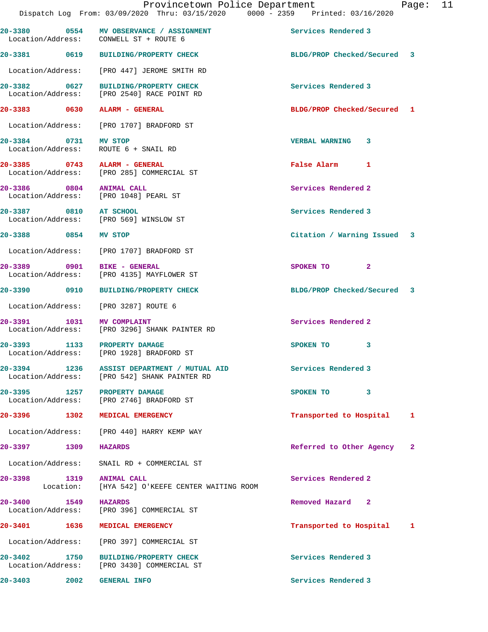|                              | 20-3380 0554 MV OBSERVANCE / ASSIGNMENT<br>Location/Address: CONWELL ST + ROUTE 6           | Services Rendered 3         |              |
|------------------------------|---------------------------------------------------------------------------------------------|-----------------------------|--------------|
|                              | 20-3381 0619 BUILDING/PROPERTY CHECK                                                        | BLDG/PROP Checked/Secured 3 |              |
|                              | Location/Address: [PRO 447] JEROME SMITH RD                                                 |                             |              |
|                              | 20-3382 0627 BUILDING/PROPERTY CHECK<br>Location/Address: [PRO 2540] RACE POINT RD          | Services Rendered 3         |              |
|                              | 20-3383 0630 ALARM - GENERAL                                                                | BLDG/PROP Checked/Secured 1 |              |
|                              | Location/Address: [PRO 1707] BRADFORD ST                                                    |                             |              |
| 20-3384 0731                 | MV STOP<br>Location/Address: ROUTE 6 + SNAIL RD                                             | VERBAL WARNING 3            |              |
|                              | 20-3385 0743 ALARM - GENERAL<br>Location/Address: [PRO 285] COMMERCIAL ST                   | False Alarm 1               |              |
| 20-3386 0804 ANIMAL CALL     | Location/Address: [PRO 1048] PEARL ST                                                       | Services Rendered 2         |              |
| 20-3387 0810 AT SCHOOL       | Location/Address: [PRO 569] WINSLOW ST                                                      | Services Rendered 3         |              |
| 20-3388 0854                 | MV STOP                                                                                     | Citation / Warning Issued 3 |              |
|                              | Location/Address: [PRO 1707] BRADFORD ST                                                    |                             |              |
|                              | 20-3389 0901 BIKE - GENERAL<br>Location/Address: [PRO 4135] MAYFLOWER ST                    | $\mathbf{2}$<br>SPOKEN TO   |              |
|                              | 20-3390 0910 BUILDING/PROPERTY CHECK                                                        | BLDG/PROP Checked/Secured 3 |              |
|                              | Location/Address: [PRO 3287] ROUTE 6                                                        |                             |              |
| 20-3391 1031 MV COMPLAINT    | Location/Address: [PRO 3296] SHANK PAINTER RD                                               | Services Rendered 2         |              |
|                              | 20-3393 1133 PROPERTY DAMAGE<br>Location/Address: [PRO 1928] BRADFORD ST                    | SPOKEN TO 3                 |              |
|                              | 20-3394 1236 ASSIST DEPARTMENT / MUTUAL AID<br>Location/Address: [PRO 542] SHANK PAINTER RD | Services Rendered 3         |              |
|                              | 20-3395 1257 PROPERTY DAMAGE<br>Location/Address: [PRO 2746] BRADFORD ST                    | SPOKEN TO<br>3              |              |
|                              | 20-3396 1302 MEDICAL EMERGENCY                                                              | Transported to Hospital     | 1            |
|                              | Location/Address: [PRO 440] HARRY KEMP WAY                                                  |                             |              |
| 20-3397 1309                 | <b>HAZARDS</b>                                                                              | Referred to Other Agency    | $\mathbf{2}$ |
| Location/Address:            | SNAIL RD + COMMERCIAL ST                                                                    |                             |              |
| 20-3398 1319 ANIMAL CALL     | Location: [HYA 542] O'KEEFE CENTER WAITING ROOM                                             | Services Rendered 2         |              |
| 20-3400 1549                 | <b>HAZARDS</b><br>Location/Address: [PRO 396] COMMERCIAL ST                                 | Removed Hazard 2            |              |
| 20-3401 20-3401 20-3<br>1636 | MEDICAL EMERGENCY                                                                           | Transported to Hospital     | 1            |
|                              | Location/Address: [PRO 397] COMMERCIAL ST                                                   |                             |              |
|                              | 20-3402 1750 BUILDING/PROPERTY CHECK<br>Location/Address: [PRO 3430] COMMERCIAL ST          | Services Rendered 3         |              |
| 20-3403<br>2002              | <b>GENERAL INFO</b>                                                                         | Services Rendered 3         |              |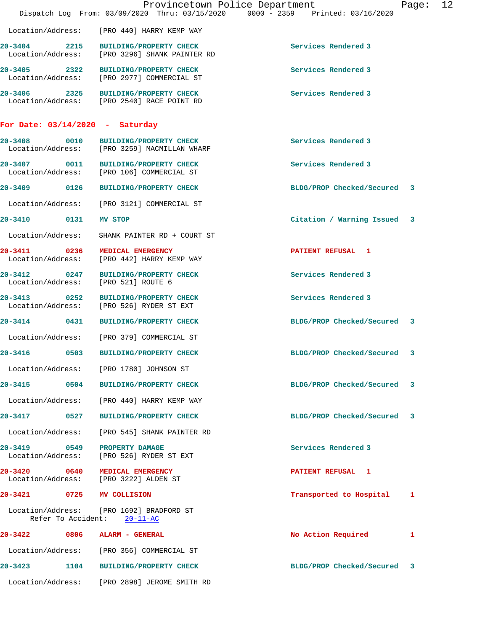|                                                       |                                                                                    | Provincetown Police Department<br>Dispatch Log From: 03/09/2020 Thru: 03/15/2020 0000 - 2359 Printed: 03/16/2020 | Page: | 12 |
|-------------------------------------------------------|------------------------------------------------------------------------------------|------------------------------------------------------------------------------------------------------------------|-------|----|
| Location/Address:                                     | [PRO 440] HARRY KEMP WAY                                                           |                                                                                                                  |       |    |
| 2215<br>20-3404<br>Location/Address:                  | <b>BUILDING/PROPERTY CHECK</b><br>[PRO 3296] SHANK PAINTER RD                      | Services Rendered 3                                                                                              |       |    |
|                                                       | 20-3405 2322 BUILDING/PROPERTY CHECK<br>Location/Address: [PRO 2977] COMMERCIAL ST | Services Rendered 3                                                                                              |       |    |
|                                                       | 20-3406 2325 BUILDING/PROPERTY CHECK<br>Location/Address: [PRO 2540] RACE POINT RD | Services Rendered 3                                                                                              |       |    |
| For Date: $03/14/2020$ - Saturday                     |                                                                                    |                                                                                                                  |       |    |
| $20 - 3408$<br>0010                                   | <b>BUILDING/PROPERTY CHECK</b><br>Location/Address: [PRO 3259] MACMILLAN WHARF     | Services Rendered 3                                                                                              |       |    |
|                                                       | 20-3407 0011 BUILDING/PROPERTY CHECK<br>Location/Address: [PRO 106] COMMERCIAL ST  | Services Rendered 3                                                                                              |       |    |
| 20-3409 0126                                          | <b>BUILDING/PROPERTY CHECK</b>                                                     | BLDG/PROP Checked/Secured 3                                                                                      |       |    |
| Location/Address:                                     | [PRO 3121] COMMERCIAL ST                                                           |                                                                                                                  |       |    |
| 20-3410 0131                                          | MV STOP                                                                            | Citation / Warning Issued                                                                                        | 3     |    |
| Location/Address:                                     | SHANK PAINTER RD + COURT ST                                                        |                                                                                                                  |       |    |
| 20-3411 0236                                          | MEDICAL EMERGENCY<br>Location/Address: [PRO 442] HARRY KEMP WAY                    | PATIENT REFUSAL 1                                                                                                |       |    |
| $\overline{0247}$<br>$20 - 3412$<br>Location/Address: | <b>BUILDING/PROPERTY CHECK</b><br>[PRO 521] ROUTE 6                                | Services Rendered 3                                                                                              |       |    |
| 20-3413 0252                                          | <b>BUILDING/PROPERTY CHECK</b><br>Location/Address: [PRO 526] RYDER ST EXT         | Services Rendered 3                                                                                              |       |    |
| 20-3414 0431                                          | <b>BUILDING/PROPERTY CHECK</b>                                                     | BLDG/PROP Checked/Secured 3                                                                                      |       |    |
| Location/Address:                                     | [PRO 379] COMMERCIAL ST                                                            |                                                                                                                  |       |    |
| $20 - 3416$<br>0503                                   | <b>BUILDING/PROPERTY CHECK</b>                                                     | BLDG/PROP Checked/Secured                                                                                        | 3     |    |
|                                                       | Location/Address: [PRO 1780] JOHNSON ST                                            |                                                                                                                  |       |    |
| 20-3415 0504                                          | <b>BUILDING/PROPERTY CHECK</b>                                                     | BLDG/PROP Checked/Secured                                                                                        | 3     |    |
| Location/Address:                                     | [PRO 440] HARRY KEMP WAY                                                           |                                                                                                                  |       |    |
| 20-3417<br>0527                                       | <b>BUILDING/PROPERTY CHECK</b>                                                     | BLDG/PROP Checked/Secured                                                                                        | 3     |    |
| Location/Address:                                     | [PRO 545] SHANK PAINTER RD                                                         |                                                                                                                  |       |    |
| 20-3419 0549<br>Location/Address:                     | PROPERTY DAMAGE<br>[PRO 526] RYDER ST EXT                                          | Services Rendered 3                                                                                              |       |    |
| 20-3420 0640                                          | MEDICAL EMERGENCY<br>Location/Address: [PRO 3222] ALDEN ST                         | <b>PATIENT REFUSAL 1</b>                                                                                         |       |    |
| 20-3421<br>0725                                       | MV COLLISION                                                                       | Transported to Hospital                                                                                          | 1     |    |
| Refer To Accident:                                    | Location/Address: [PRO 1692] BRADFORD ST<br>$20 - 11 - AC$                         |                                                                                                                  |       |    |
| 20-3422<br>0806                                       | ALARM - GENERAL                                                                    | No Action Required                                                                                               | 1     |    |
|                                                       | Location/Address: [PRO 356] COMMERCIAL ST                                          |                                                                                                                  |       |    |
| $20 - 3423$<br>1104                                   | <b>BUILDING/PROPERTY CHECK</b>                                                     | BLDG/PROP Checked/Secured                                                                                        | 3     |    |
| Location/Address:                                     | [PRO 2898] JEROME SMITH RD                                                         |                                                                                                                  |       |    |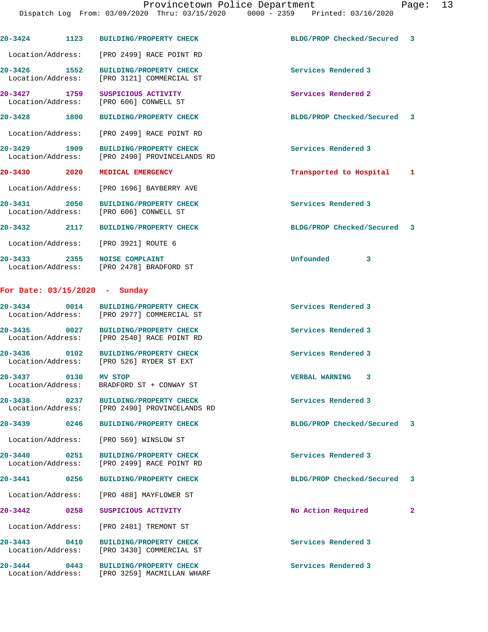| $20 - 3424$                          | 1123 | <b>BUILDING/PROPERTY CHECK</b>                                                        | BLDG/PROP Checked/Secured 3 |              |
|--------------------------------------|------|---------------------------------------------------------------------------------------|-----------------------------|--------------|
|                                      |      | Location/Address: [PRO 2499] RACE POINT RD                                            |                             |              |
| 20-3426 1552<br>Location/Address:    |      | <b>BUILDING/PROPERTY CHECK</b><br>[PRO 3121] COMMERCIAL ST                            | Services Rendered 3         |              |
| 20-3427 1759<br>Location/Address:    |      | SUSPICIOUS ACTIVITY<br>[PRO 606] CONWELL ST                                           | Services Rendered 2         |              |
| 20-3428 1800                         |      | <b>BUILDING/PROPERTY CHECK</b>                                                        | BLDG/PROP Checked/Secured 3 |              |
| Location/Address:                    |      | [PRO 2499] RACE POINT RD                                                              |                             |              |
| 20-3429 1909<br>Location/Address:    |      | <b>BUILDING/PROPERTY CHECK</b><br>[PRO 2490] PROVINCELANDS RD                         | Services Rendered 3         |              |
| 20-3430 20-3430 20-3                 | 2020 | MEDICAL EMERGENCY                                                                     | Transported to Hospital 1   |              |
| Location/Address:                    |      | [PRO 1696] BAYBERRY AVE                                                               |                             |              |
| 20-3431 2050                         |      | <b>BUILDING/PROPERTY CHECK</b><br>Location/Address: [PRO 606] CONWELL ST              | Services Rendered 3         |              |
|                                      |      | 20-3432 2117 BUILDING/PROPERTY CHECK                                                  | BLDG/PROP Checked/Secured 3 |              |
|                                      |      | Location/Address: [PRO 3921] ROUTE 6                                                  |                             |              |
| 20-3433 2355 NOISE COMPLAINT         |      | Location/Address: [PRO 2478] BRADFORD ST                                              | <b>Unfounded</b><br>3       |              |
| For Date: $03/15/2020 -$ Sunday      |      |                                                                                       |                             |              |
|                                      |      | 20-3434 0014 BUILDING/PROPERTY CHECK<br>Location/Address: [PRO 2977] COMMERCIAL ST    | Services Rendered 3         |              |
|                                      |      | 20-3435 0027 BUILDING/PROPERTY CHECK<br>Location/Address: [PRO 2540] RACE POINT RD    | Services Rendered 3         |              |
|                                      |      | 20-3436 0102 BUILDING/PROPERTY CHECK<br>Location/Address: [PRO 526] RYDER ST EXT      | Services Rendered 3         |              |
| 20-3437 0130 MV STOP                 |      | Location/Address: BRADFORD ST + CONWAY ST                                             | VERBAL WARNING 3            |              |
|                                      |      | 20-3438 0237 BUILDING/PROPERTY CHECK<br>Location/Address: [PRO 2490] PROVINCELANDS RD | Services Rendered 3         |              |
| 20-3439                              |      | 0246 BUILDING/PROPERTY CHECK                                                          | BLDG/PROP Checked/Secured 3 |              |
|                                      |      | Location/Address: [PRO 569] WINSLOW ST                                                |                             |              |
| 20-3440 0251                         |      | <b>BUILDING/PROPERTY CHECK</b><br>Location/Address: [PRO 2499] RACE POINT RD          | Services Rendered 3         |              |
| 20-3441 0256                         |      | <b>BUILDING/PROPERTY CHECK</b>                                                        | BLDG/PROP Checked/Secured 3 |              |
|                                      |      | Location/Address: [PRO 488] MAYFLOWER ST                                              |                             |              |
| $20 - 3442$<br>$\sim$ 0258           |      | SUSPICIOUS ACTIVITY                                                                   | No Action Required          | $\mathbf{2}$ |
|                                      |      | Location/Address: [PRO 2481] TREMONT ST                                               |                             |              |
| 20-3443 0410                         |      | <b>BUILDING/PROPERTY CHECK</b><br>Location/Address: [PRO 3430] COMMERCIAL ST          | Services Rendered 3         |              |
| 20-3444<br>0443<br>Location/Address: |      | <b>BUILDING/PROPERTY CHECK</b><br>[PRO 3259] MACMILLAN WHARF                          | Services Rendered 3         |              |